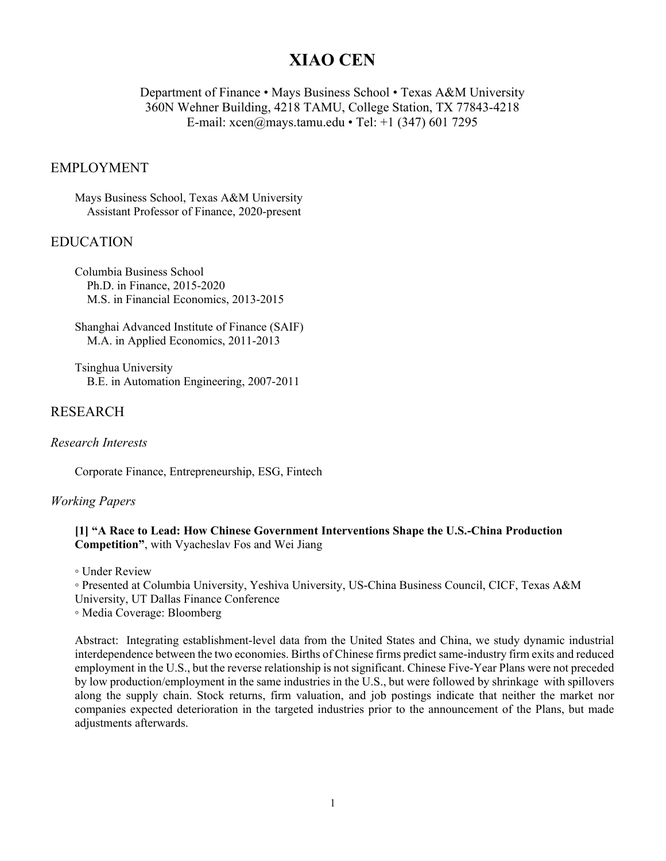# **XIAO CEN**

Department of Finance • Mays Business School • Texas A&M University 360N Wehner Building, 4218 TAMU, College Station, TX 77843-4218 E-mail: xcen@mays.tamu.edu • Tel: +1 (347) 601 7295

#### EMPLOYMENT

Mays Business School, Texas A&M University Assistant Professor of Finance, 2020-present

#### EDUCATION

Columbia Business School Ph.D. in Finance, 2015-2020 M.S. in Financial Economics, 2013-2015

Shanghai Advanced Institute of Finance (SAIF) M.A. in Applied Economics, 2011-2013

Tsinghua University B.E. in Automation Engineering, 2007-2011

# RESEARCH

#### *Research Interests*

Corporate Finance, Entrepreneurship, ESG, Fintech

#### *Working Papers*

**[1] "A Race to Lead: How Chinese Government Interventions Shape the U.S.-China Production Competition"**, with Vyacheslav Fos and Wei Jiang

◦ Under Review

◦ Presented at Columbia University, Yeshiva University, US-China Business Council, CICF, Texas A&M University, UT Dallas Finance Conference

◦ Media Coverage: Bloomberg

Abstract: Integrating establishment-level data from the United States and China, we study dynamic industrial interdependence between the two economies. Births of Chinese firms predict same-industry firm exits and reduced employment in the U.S., but the reverse relationship is not significant. Chinese Five-Year Plans were not preceded by low production/employment in the same industries in the U.S., but were followed by shrinkage with spillovers along the supply chain. Stock returns, firm valuation, and job postings indicate that neither the market nor companies expected deterioration in the targeted industries prior to the announcement of the Plans, but made adjustments afterwards.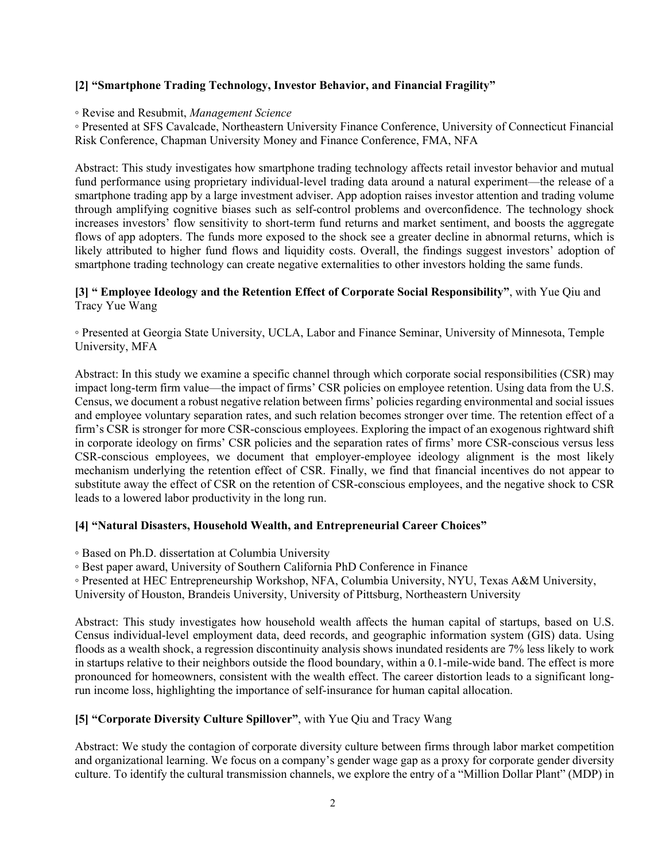#### **[2] "Smartphone Trading Technology, Investor Behavior, and Financial Fragility"**

◦ Revise and Resubmit, *Management Science*

◦ Presented at SFS Cavalcade, Northeastern University Finance Conference, University of Connecticut Financial Risk Conference, Chapman University Money and Finance Conference, FMA, NFA

Abstract: This study investigates how smartphone trading technology affects retail investor behavior and mutual fund performance using proprietary individual-level trading data around a natural experiment—the release of a smartphone trading app by a large investment adviser. App adoption raises investor attention and trading volume through amplifying cognitive biases such as self-control problems and overconfidence. The technology shock increases investors' flow sensitivity to short-term fund returns and market sentiment, and boosts the aggregate flows of app adopters. The funds more exposed to the shock see a greater decline in abnormal returns, which is likely attributed to higher fund flows and liquidity costs. Overall, the findings suggest investors' adoption of smartphone trading technology can create negative externalities to other investors holding the same funds.

#### **[3] " Employee Ideology and the Retention Effect of Corporate Social Responsibility"**, with Yue Qiu and Tracy Yue Wang

◦ Presented at Georgia State University, UCLA, Labor and Finance Seminar, University of Minnesota, Temple University, MFA

Abstract: In this study we examine a specific channel through which corporate social responsibilities (CSR) may impact long-term firm value—the impact of firms' CSR policies on employee retention. Using data from the U.S. Census, we document a robust negative relation between firms' policies regarding environmental and social issues and employee voluntary separation rates, and such relation becomes stronger over time. The retention effect of a firm's CSR is stronger for more CSR-conscious employees. Exploring the impact of an exogenous rightward shift in corporate ideology on firms' CSR policies and the separation rates of firms' more CSR-conscious versus less CSR-conscious employees, we document that employer-employee ideology alignment is the most likely mechanism underlying the retention effect of CSR. Finally, we find that financial incentives do not appear to substitute away the effect of CSR on the retention of CSR-conscious employees, and the negative shock to CSR leads to a lowered labor productivity in the long run.

## **[4] "Natural Disasters, Household Wealth, and Entrepreneurial Career Choices"**

◦ Based on Ph.D. dissertation at Columbia University

◦ Best paper award, University of Southern California PhD Conference in Finance

◦ Presented at HEC Entrepreneurship Workshop, NFA, Columbia University, NYU, Texas A&M University,

University of Houston, Brandeis University, University of Pittsburg, Northeastern University

Abstract: This study investigates how household wealth affects the human capital of startups, based on U.S. Census individual-level employment data, deed records, and geographic information system (GIS) data. Using floods as a wealth shock, a regression discontinuity analysis shows inundated residents are 7% less likely to work in startups relative to their neighbors outside the flood boundary, within a 0.1-mile-wide band. The effect is more pronounced for homeowners, consistent with the wealth effect. The career distortion leads to a significant longrun income loss, highlighting the importance of self-insurance for human capital allocation.

## **[5] "Corporate Diversity Culture Spillover"**, with Yue Qiu and Tracy Wang

Abstract: We study the contagion of corporate diversity culture between firms through labor market competition and organizational learning. We focus on a company's gender wage gap as a proxy for corporate gender diversity culture. To identify the cultural transmission channels, we explore the entry of a "Million Dollar Plant" (MDP) in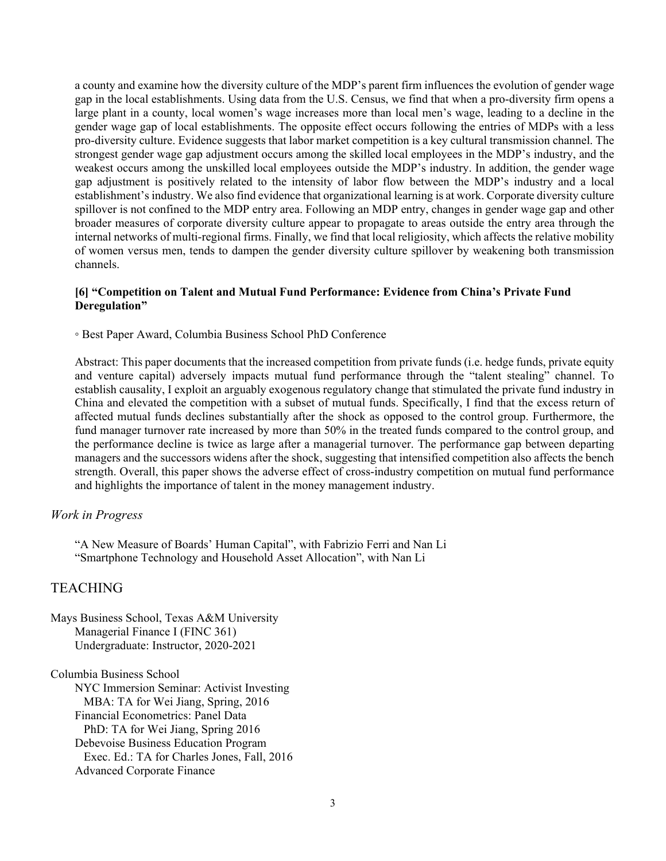a county and examine how the diversity culture of the MDP's parent firm influences the evolution of gender wage gap in the local establishments. Using data from the U.S. Census, we find that when a pro-diversity firm opens a large plant in a county, local women's wage increases more than local men's wage, leading to a decline in the gender wage gap of local establishments. The opposite effect occurs following the entries of MDPs with a less pro-diversity culture. Evidence suggests that labor market competition is a key cultural transmission channel. The strongest gender wage gap adjustment occurs among the skilled local employees in the MDP's industry, and the weakest occurs among the unskilled local employees outside the MDP's industry. In addition, the gender wage gap adjustment is positively related to the intensity of labor flow between the MDP's industry and a local establishment's industry. We also find evidence that organizational learning is at work. Corporate diversity culture spillover is not confined to the MDP entry area. Following an MDP entry, changes in gender wage gap and other broader measures of corporate diversity culture appear to propagate to areas outside the entry area through the internal networks of multi-regional firms. Finally, we find that local religiosity, which affects the relative mobility of women versus men, tends to dampen the gender diversity culture spillover by weakening both transmission channels.

#### **[6] "Competition on Talent and Mutual Fund Performance: Evidence from China's Private Fund Deregulation"**

◦ Best Paper Award, Columbia Business School PhD Conference

Abstract: This paper documents that the increased competition from private funds (i.e. hedge funds, private equity and venture capital) adversely impacts mutual fund performance through the "talent stealing" channel. To establish causality, I exploit an arguably exogenous regulatory change that stimulated the private fund industry in China and elevated the competition with a subset of mutual funds. Specifically, I find that the excess return of affected mutual funds declines substantially after the shock as opposed to the control group. Furthermore, the fund manager turnover rate increased by more than 50% in the treated funds compared to the control group, and the performance decline is twice as large after a managerial turnover. The performance gap between departing managers and the successors widens after the shock, suggesting that intensified competition also affects the bench strength. Overall, this paper shows the adverse effect of cross-industry competition on mutual fund performance and highlights the importance of talent in the money management industry.

#### *Work in Progress*

"A New Measure of Boards' Human Capital", with Fabrizio Ferri and Nan Li "Smartphone Technology and Household Asset Allocation", with Nan Li

## **TEACHING**

Mays Business School, Texas A&M University Managerial Finance I (FINC 361) Undergraduate: Instructor, 2020-2021

Columbia Business School

NYC Immersion Seminar: Activist Investing MBA: TA for Wei Jiang, Spring, 2016 Financial Econometrics: Panel Data PhD: TA for Wei Jiang, Spring 2016 Debevoise Business Education Program Exec. Ed.: TA for Charles Jones, Fall, 2016 Advanced Corporate Finance